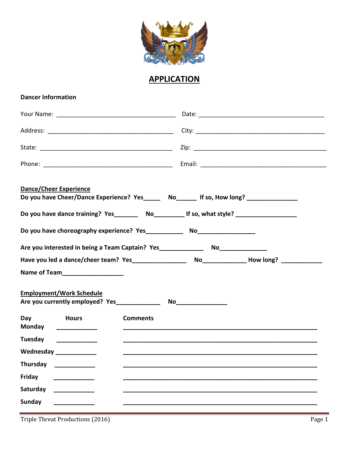

## **APPLICATION**

## **Dancer Information**

| <b>Dance/Cheer Experience</b><br>Do you have Cheer/Dance Experience? Yes______ No______ If so, How long? ______________ |  |
|-------------------------------------------------------------------------------------------------------------------------|--|
| Do you have dance training? Yes__________ No_______________If so, what style? ______________________                    |  |
|                                                                                                                         |  |
| Are you interested in being a Team Captain? Yes__________________________________                                       |  |
|                                                                                                                         |  |
| Name of Team_____________________                                                                                       |  |
| <b>Employment/Work Schedule</b>                                                                                         |  |
| Day<br><b>Hours</b><br><b>Comments</b><br>Monday _____________                                                          |  |
| Tuesday                                                                                                                 |  |
| Wednesday ____________                                                                                                  |  |
| <b>Thursdav</b>                                                                                                         |  |
| Friday                                                                                                                  |  |
| Saturday                                                                                                                |  |
| <b>Sunday</b>                                                                                                           |  |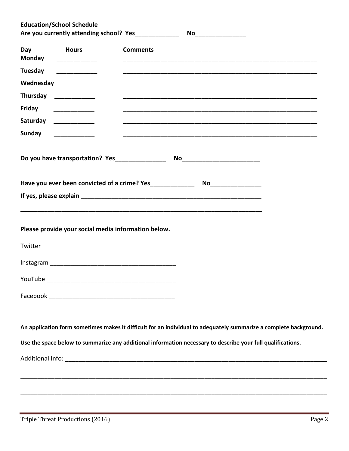|                        | <b>Education/School Schedule</b>                                                                                                                                                                                               |                                                                                                                                                                                                                                  |
|------------------------|--------------------------------------------------------------------------------------------------------------------------------------------------------------------------------------------------------------------------------|----------------------------------------------------------------------------------------------------------------------------------------------------------------------------------------------------------------------------------|
| Day<br>Monday          | <b>Example 19 Hours</b>                                                                                                                                                                                                        | <b>Comments</b>                                                                                                                                                                                                                  |
| Tuesday                |                                                                                                                                                                                                                                |                                                                                                                                                                                                                                  |
|                        | Wednesday _____________                                                                                                                                                                                                        |                                                                                                                                                                                                                                  |
|                        | Thursday _____________                                                                                                                                                                                                         |                                                                                                                                                                                                                                  |
| Friday                 | and a strong company of the strong strong parties of the strong strong strong strong strong strong strong strong strong strong strong strong strong strong strong strong strong strong strong strong strong strong strong stro |                                                                                                                                                                                                                                  |
| Saturday _____________ |                                                                                                                                                                                                                                |                                                                                                                                                                                                                                  |
| Sunday ____________    |                                                                                                                                                                                                                                |                                                                                                                                                                                                                                  |
|                        |                                                                                                                                                                                                                                |                                                                                                                                                                                                                                  |
|                        |                                                                                                                                                                                                                                | Have you ever been convicted of a crime? Yes______________<br>No___________________                                                                                                                                              |
|                        |                                                                                                                                                                                                                                |                                                                                                                                                                                                                                  |
|                        | Please provide your social media information below.                                                                                                                                                                            |                                                                                                                                                                                                                                  |
|                        |                                                                                                                                                                                                                                |                                                                                                                                                                                                                                  |
|                        |                                                                                                                                                                                                                                |                                                                                                                                                                                                                                  |
|                        |                                                                                                                                                                                                                                | An application form sometimes makes it difficult for an individual to adequately summarize a complete background.<br>Use the space below to summarize any additional information necessary to describe your full qualifications. |
|                        |                                                                                                                                                                                                                                |                                                                                                                                                                                                                                  |
|                        |                                                                                                                                                                                                                                |                                                                                                                                                                                                                                  |
|                        |                                                                                                                                                                                                                                |                                                                                                                                                                                                                                  |